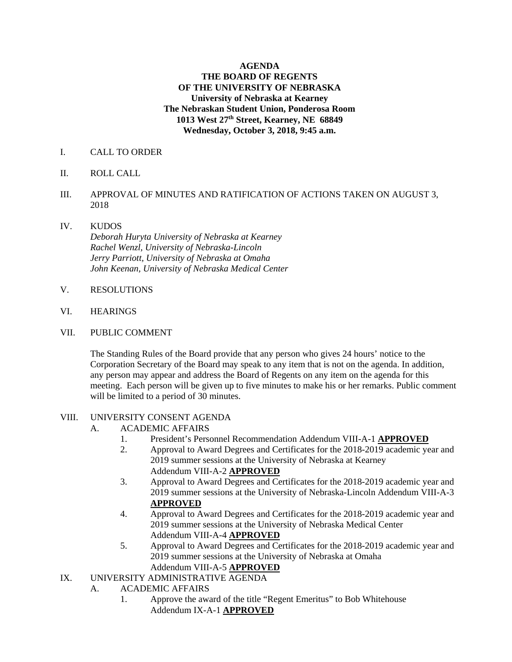## **AGENDA THE BOARD OF REGENTS OF THE UNIVERSITY OF NEBRASKA University of Nebraska at Kearney The Nebraskan Student Union, Ponderosa Room 1013 West 27th Street, Kearney, NE 68849 Wednesday, October 3, 2018, 9:45 a.m.**

### I. CALL TO ORDER

- II. ROLL CALL
- III. APPROVAL OF MINUTES AND RATIFICATION OF ACTIONS TAKEN ON AUGUST 3, 2018
- IV. KUDOS  *Deborah Huryta University of Nebraska at Kearney Rachel Wenzl, University of Nebraska-Lincoln Jerry Parriott, University of Nebraska at Omaha John Keenan, University of Nebraska Medical Center*
- V. RESOLUTIONS
- VI. HEARINGS
- VII. PUBLIC COMMENT

The Standing Rules of the Board provide that any person who gives 24 hours' notice to the Corporation Secretary of the Board may speak to any item that is not on the agenda. In addition, any person may appear and address the Board of Regents on any item on the agenda for this meeting. Each person will be given up to five minutes to make his or her remarks. Public comment will be limited to a period of 30 minutes.

#### VIII. UNIVERSITY CONSENT AGENDA

- A. ACADEMIC AFFAIRS
	- 1. President's Personnel Recommendation Addendum VIII-A-1 **APPROVED**
	- 2. Approval to Award Degrees and Certificates for the 2018-2019 academic year and 2019 summer sessions at the University of Nebraska at Kearney Addendum VIII-A-2 **APPROVED**
	- 3. Approval to Award Degrees and Certificates for the 2018-2019 academic year and 2019 summer sessions at the University of Nebraska-Lincoln Addendum VIII-A-3 **APPROVED**
	- 4. Approval to Award Degrees and Certificates for the 2018-2019 academic year and 2019 summer sessions at the University of Nebraska Medical Center Addendum VIII-A-4 **APPROVED**
	- 5. Approval to Award Degrees and Certificates for the 2018-2019 academic year and 2019 summer sessions at the University of Nebraska at Omaha Addendum VIII-A-5 **APPROVED**
- IX. UNIVERSITY ADMINISTRATIVE AGENDA
	- A. ACADEMIC AFFAIRS
		- 1. Approve the award of the title "Regent Emeritus" to Bob Whitehouse Addendum IX-A-1 **APPROVED**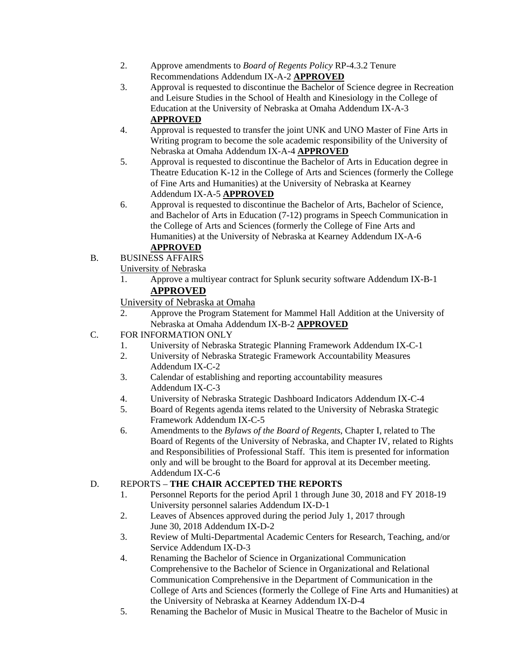- 2. Approve amendments to *Board of Regents Policy* RP-4.3.2 Tenure Recommendations Addendum IX-A-2 **APPROVED**
- 3. Approval is requested to discontinue the Bachelor of Science degree in Recreation and Leisure Studies in the School of Health and Kinesiology in the College of Education at the University of Nebraska at Omaha Addendum IX-A-3 **APPROVED**
- 4. Approval is requested to transfer the joint UNK and UNO Master of Fine Arts in Writing program to become the sole academic responsibility of the University of Nebraska at Omaha Addendum IX-A-4 **APPROVED**
- 5. Approval is requested to discontinue the Bachelor of Arts in Education degree in Theatre Education K-12 in the College of Arts and Sciences (formerly the College of Fine Arts and Humanities) at the University of Nebraska at Kearney Addendum IX-A-5 **APPROVED**
- 6. Approval is requested to discontinue the Bachelor of Arts, Bachelor of Science, and Bachelor of Arts in Education (7-12) programs in Speech Communication in the College of Arts and Sciences (formerly the College of Fine Arts and Humanities) at the University of Nebraska at Kearney Addendum IX-A-6

# **APPROVED**

B. BUSINESS AFFAIRS University of Nebraska

- 1. Approve a multiyear contract for Splunk security software Addendum IX-B-1 **APPROVED**
- University of Nebraska at Omaha
- 2. Approve the Program Statement for Mammel Hall Addition at the University of Nebraska at Omaha Addendum IX-B-2 **APPROVED**
- C. FOR INFORMATION ONLY
	- 1. University of Nebraska Strategic Planning Framework Addendum IX-C-1
	- 2. University of Nebraska Strategic Framework Accountability Measures Addendum IX-C-2
	- 3. Calendar of establishing and reporting accountability measures Addendum IX-C-3
	- 4. University of Nebraska Strategic Dashboard Indicators Addendum IX-C-4
	- 5. Board of Regents agenda items related to the University of Nebraska Strategic Framework Addendum IX-C-5
	- 6. Amendments to the *Bylaws of the Board of Regents*, Chapter I, related to The Board of Regents of the University of Nebraska, and Chapter IV, related to Rights and Responsibilities of Professional Staff. This item is presented for information only and will be brought to the Board for approval at its December meeting. Addendum IX-C-6

# D. REPORTS – **THE CHAIR ACCEPTED THE REPORTS**

- 1. Personnel Reports for the period April 1 through June 30, 2018 and FY 2018-19 University personnel salaries Addendum IX-D-1
- 2. Leaves of Absences approved during the period July 1, 2017 through June 30, 2018 Addendum IX-D-2
- 3. Review of Multi-Departmental Academic Centers for Research, Teaching, and/or Service Addendum IX-D-3
- 4. Renaming the Bachelor of Science in Organizational Communication Comprehensive to the Bachelor of Science in Organizational and Relational Communication Comprehensive in the Department of Communication in the College of Arts and Sciences (formerly the College of Fine Arts and Humanities) at the University of Nebraska at Kearney Addendum IX-D-4
- 5. Renaming the Bachelor of Music in Musical Theatre to the Bachelor of Music in